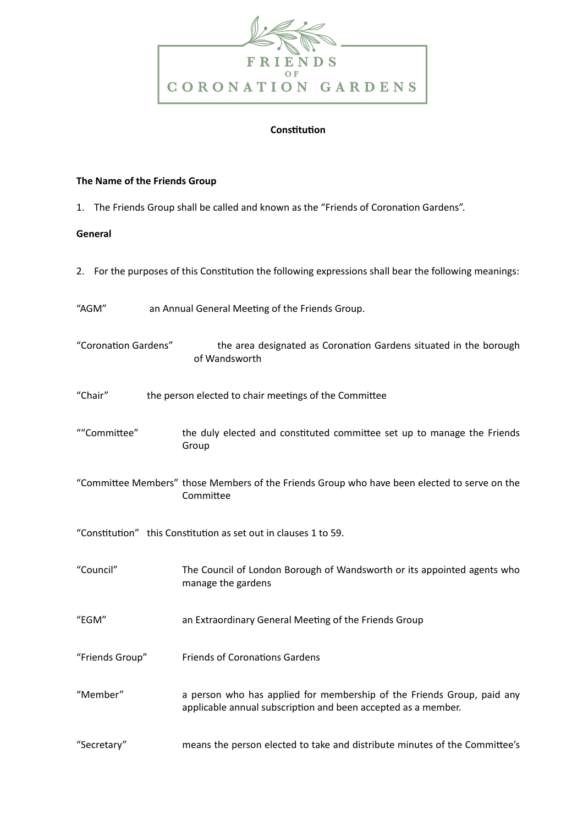

## **Constitution**

## **The Name of the Friends Group**

1. The Friends Group shall be called and known as the "Friends of Coronation Gardens".

# **General**

- 2. For the purposes of this Constitution the following expressions shall bear the following meanings:
- "AGM" an Annual General Meeting of the Friends Group.
- "Coronation Gardens" the area designated as Coronation Gardens situated in the borough of Wandsworth
- "Chair" the person elected to chair meetings of the Committee
- ""Committee" the duly elected and constituted committee set up to manage the Friends Group
- "Committee Members" those Members of the Friends Group who have been elected to serve on the Committee
- "Constitution" this Constitution as set out in clauses 1 to 59.
- "Council" The Council of London Borough of Wandsworth or its appointed agents who manage the gardens
- "EGM" an Extraordinary General Meeting of the Friends Group
- "Friends Group" Friends of Coronations Gardens
- "Member" a person who has applied for membership of the Friends Group, paid any applicable annual subscription and been accepted as a member.
- "Secretary" means the person elected to take and distribute minutes of the Committee's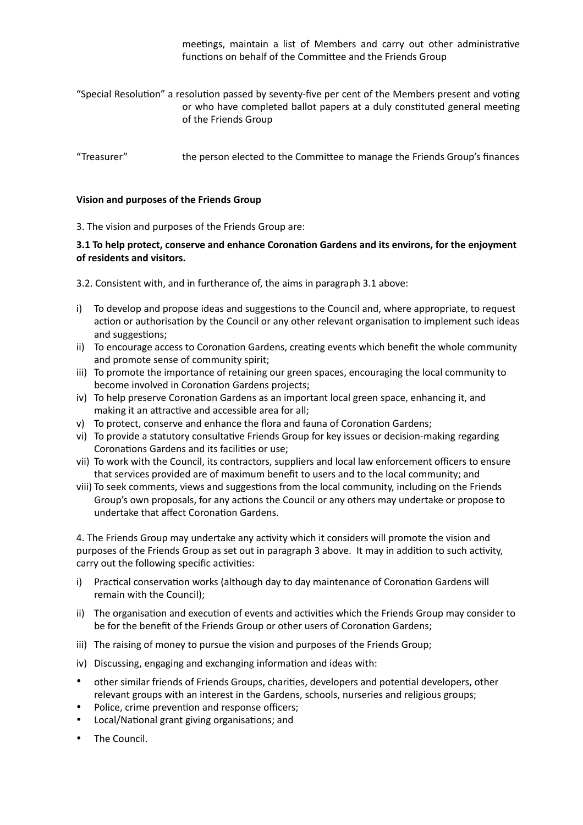meetings, maintain a list of Members and carry out other administrative functions on behalf of the Committee and the Friends Group

- "Special Resolution" a resolution passed by seventy-five per cent of the Members present and voting or who have completed ballot papers at a duly constituted general meeting of the Friends Group
- "Treasurer" the person elected to the Committee to manage the Friends Group's finances

## **Vision and purposes of the Friends Group**

3. The vision and purposes of the Friends Group are:

## **3.1 To help protect, conserve and enhance Coronation Gardens and its environs, for the enjoyment of residents and visitors.**

- 3.2. Consistent with, and in furtherance of, the aims in paragraph 3.1 above:
- i) To develop and propose ideas and suggestions to the Council and, where appropriate, to request action or authorisation by the Council or any other relevant organisation to implement such ideas and suggestions;
- ii) To encourage access to Coronation Gardens, creating events which benefit the whole community and promote sense of community spirit;
- iii) To promote the importance of retaining our green spaces, encouraging the local community to become involved in Coronation Gardens projects;
- iv) To help preserve Coronation Gardens as an important local green space, enhancing it, and making it an attractive and accessible area for all;
- v) To protect, conserve and enhance the flora and fauna of Coronation Gardens;
- vi) To provide a statutory consultative Friends Group for key issues or decision-making regarding Coronations Gardens and its facilities or use;
- vii) To work with the Council, its contractors, suppliers and local law enforcement officers to ensure that services provided are of maximum benefit to users and to the local community; and
- viii) To seek comments, views and suggestions from the local community, including on the Friends Group's own proposals, for any actions the Council or any others may undertake or propose to undertake that affect Coronation Gardens.

4. The Friends Group may undertake any activity which it considers will promote the vision and purposes of the Friends Group as set out in paragraph 3 above. It may in addition to such activity, carry out the following specific activities:

- i) Practical conservation works (although day to day maintenance of Coronation Gardens will remain with the Council);
- ii) The organisation and execution of events and activities which the Friends Group may consider to be for the benefit of the Friends Group or other users of Coronation Gardens;
- iii) The raising of money to pursue the vision and purposes of the Friends Group;
- iv) Discussing, engaging and exchanging information and ideas with:
- other similar friends of Friends Groups, charities, developers and potential developers, other relevant groups with an interest in the Gardens, schools, nurseries and religious groups;
- Police, crime prevention and response officers;
- Local/National grant giving organisations; and
- The Council.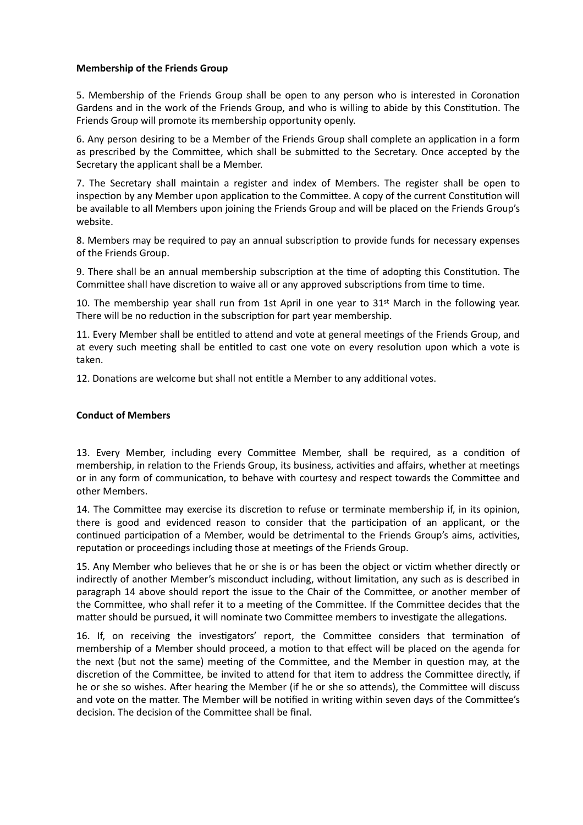## **Membership of the Friends Group**

5. Membership of the Friends Group shall be open to any person who is interested in Coronation Gardens and in the work of the Friends Group, and who is willing to abide by this Constitution. The Friends Group will promote its membership opportunity openly.

6. Any person desiring to be a Member of the Friends Group shall complete an application in a form as prescribed by the Committee, which shall be submitted to the Secretary. Once accepted by the Secretary the applicant shall be a Member.

7. The Secretary shall maintain a register and index of Members. The register shall be open to inspection by any Member upon application to the Committee. A copy of the current Constitution will be available to all Members upon joining the Friends Group and will be placed on the Friends Group's website.

8. Members may be required to pay an annual subscription to provide funds for necessary expenses of the Friends Group.

9. There shall be an annual membership subscription at the time of adopting this Constitution. The Committee shall have discretion to waive all or any approved subscriptions from time to time.

10. The membership year shall run from 1st April in one year to 31st March in the following year. There will be no reduction in the subscription for part year membership.

11. Every Member shall be entitled to attend and vote at general meetings of the Friends Group, and at every such meeting shall be entitled to cast one vote on every resolution upon which a vote is taken.

12. Donations are welcome but shall not entitle a Member to any additional votes.

## **Conduct of Members**

13. Every Member, including every Committee Member, shall be required, as a condition of membership, in relation to the Friends Group, its business, activities and affairs, whether at meetings or in any form of communication, to behave with courtesy and respect towards the Committee and other Members.

14. The Committee may exercise its discretion to refuse or terminate membership if, in its opinion, there is good and evidenced reason to consider that the participation of an applicant, or the continued participation of a Member, would be detrimental to the Friends Group's aims, activities, reputation or proceedings including those at meetings of the Friends Group.

15. Any Member who believes that he or she is or has been the object or victim whether directly or indirectly of another Member's misconduct including, without limitation, any such as is described in paragraph 14 above should report the issue to the Chair of the Committee, or another member of the Committee, who shall refer it to a meeting of the Committee. If the Committee decides that the matter should be pursued, it will nominate two Committee members to investigate the allegations.

16. If, on receiving the investigators' report, the Committee considers that termination of membership of a Member should proceed, a motion to that effect will be placed on the agenda for the next (but not the same) meeting of the Committee, and the Member in question may, at the discretion of the Committee, be invited to attend for that item to address the Committee directly, if he or she so wishes. After hearing the Member (if he or she so attends), the Committee will discuss and vote on the matter. The Member will be notified in writing within seven days of the Committee's decision. The decision of the Committee shall be final.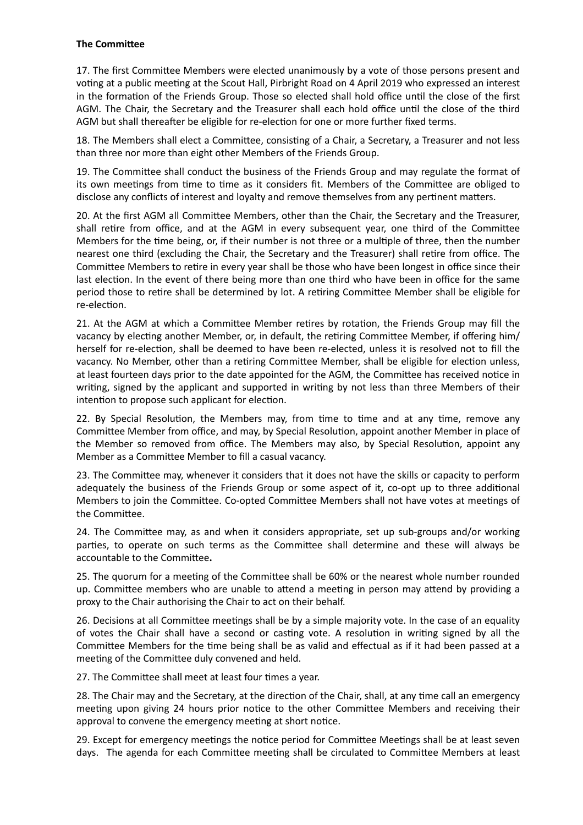## **The Committee**

17. The first Committee Members were elected unanimously by a vote of those persons present and voting at a public meeting at the Scout Hall, Pirbright Road on 4 April 2019 who expressed an interest in the formation of the Friends Group. Those so elected shall hold office until the close of the first AGM. The Chair, the Secretary and the Treasurer shall each hold office until the close of the third AGM but shall thereafter be eligible for re-election for one or more further fixed terms.

18. The Members shall elect a Committee, consisting of a Chair, a Secretary, a Treasurer and not less than three nor more than eight other Members of the Friends Group.

19. The Committee shall conduct the business of the Friends Group and may regulate the format of its own meetings from time to time as it considers fit. Members of the Committee are obliged to disclose any conflicts of interest and loyalty and remove themselves from any pertinent matters.

20. At the first AGM all Committee Members, other than the Chair, the Secretary and the Treasurer, shall retire from office, and at the AGM in every subsequent year, one third of the Committee Members for the time being, or, if their number is not three or a multiple of three, then the number nearest one third (excluding the Chair, the Secretary and the Treasurer) shall retire from office. The Committee Members to retire in every year shall be those who have been longest in office since their last election. In the event of there being more than one third who have been in office for the same period those to retire shall be determined by lot. A retiring Committee Member shall be eligible for re-election.

21. At the AGM at which a Committee Member retires by rotation, the Friends Group may fill the vacancy by electing another Member, or, in default, the retiring Committee Member, if offering him/ herself for re-election, shall be deemed to have been re-elected, unless it is resolved not to fill the vacancy. No Member, other than a retiring Committee Member, shall be eligible for election unless, at least fourteen days prior to the date appointed for the AGM, the Committee has received notice in writing, signed by the applicant and supported in writing by not less than three Members of their intention to propose such applicant for election.

22. By Special Resolution, the Members may, from time to time and at any time, remove any Committee Member from office, and may, by Special Resolution, appoint another Member in place of the Member so removed from office. The Members may also, by Special Resolution, appoint any Member as a Committee Member to fill a casual vacancy.

23. The Committee may, whenever it considers that it does not have the skills or capacity to perform adequately the business of the Friends Group or some aspect of it, co-opt up to three additional Members to join the Committee. Co-opted Committee Members shall not have votes at meetings of the Committee.

24. The Committee may, as and when it considers appropriate, set up sub-groups and/or working parties, to operate on such terms as the Committee shall determine and these will always be accountable to the Committee.

25. The quorum for a meeting of the Committee shall be 60% or the nearest whole number rounded up. Committee members who are unable to attend a meeting in person may attend by providing a proxy to the Chair authorising the Chair to act on their behalf.

26. Decisions at all Committee meetings shall be by a simple majority vote. In the case of an equality of votes the Chair shall have a second or casting vote. A resolution in writing signed by all the Committee Members for the time being shall be as valid and effectual as if it had been passed at a meeting of the Committee duly convened and held.

27. The Committee shall meet at least four times a year.

28. The Chair may and the Secretary, at the direction of the Chair, shall, at any time call an emergency meeting upon giving 24 hours prior notice to the other Committee Members and receiving their approval to convene the emergency meeting at short notice.

29. Except for emergency meetings the notice period for Committee Meetings shall be at least seven days. The agenda for each Committee meeting shall be circulated to Committee Members at least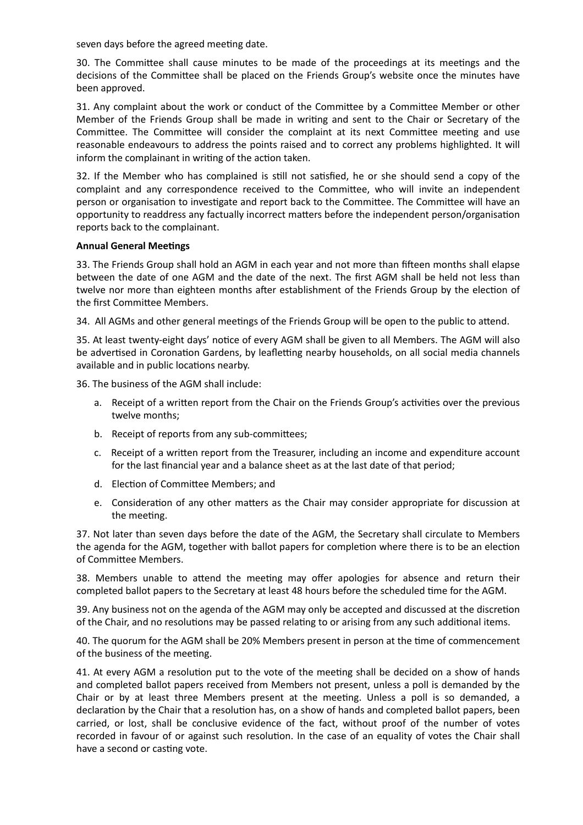seven days before the agreed meeting date.

30. The Committee shall cause minutes to be made of the proceedings at its meetings and the decisions of the Committee shall be placed on the Friends Group's website once the minutes have been approved.

31. Any complaint about the work or conduct of the Committee by a Committee Member or other Member of the Friends Group shall be made in writing and sent to the Chair or Secretary of the Committee. The Committee will consider the complaint at its next Committee meeting and use reasonable endeavours to address the points raised and to correct any problems highlighted. It will inform the complainant in writing of the action taken.

32. If the Member who has complained is still not satisfied, he or she should send a copy of the complaint and any correspondence received to the Committee, who will invite an independent person or organisation to investigate and report back to the Committee. The Committee will have an opportunity to readdress any factually incorrect matters before the independent person/organisation reports back to the complainant.

### **Annual General Meetings**

33. The Friends Group shall hold an AGM in each year and not more than fifteen months shall elapse between the date of one AGM and the date of the next. The first AGM shall be held not less than twelve nor more than eighteen months after establishment of the Friends Group by the election of the first Committee Members.

34. All AGMs and other general meetings of the Friends Group will be open to the public to attend.

35. At least twenty-eight days' notice of every AGM shall be given to all Members. The AGM will also be advertised in Coronation Gardens, by leafletting nearby households, on all social media channels available and in public locations nearby.

36. The business of the AGM shall include:

- a. Receipt of a written report from the Chair on the Friends Group's activities over the previous twelve months;
- b. Receipt of reports from any sub-committees;
- c. Receipt of a written report from the Treasurer, including an income and expenditure account for the last financial year and a balance sheet as at the last date of that period;
- d. Election of Committee Members; and
- e. Consideration of any other matters as the Chair may consider appropriate for discussion at the meeting.

37. Not later than seven days before the date of the AGM, the Secretary shall circulate to Members the agenda for the AGM, together with ballot papers for completion where there is to be an election of Committee Members.

38. Members unable to attend the meeting may offer apologies for absence and return their completed ballot papers to the Secretary at least 48 hours before the scheduled time for the AGM.

39. Any business not on the agenda of the AGM may only be accepted and discussed at the discretion of the Chair, and no resolutions may be passed relating to or arising from any such additional items.

40. The quorum for the AGM shall be 20% Members present in person at the time of commencement of the business of the meeting.

41. At every AGM a resolution put to the vote of the meeting shall be decided on a show of hands and completed ballot papers received from Members not present, unless a poll is demanded by the Chair or by at least three Members present at the meeting. Unless a poll is so demanded, a declaration by the Chair that a resolution has, on a show of hands and completed ballot papers, been carried, or lost, shall be conclusive evidence of the fact, without proof of the number of votes recorded in favour of or against such resolution. In the case of an equality of votes the Chair shall have a second or casting vote.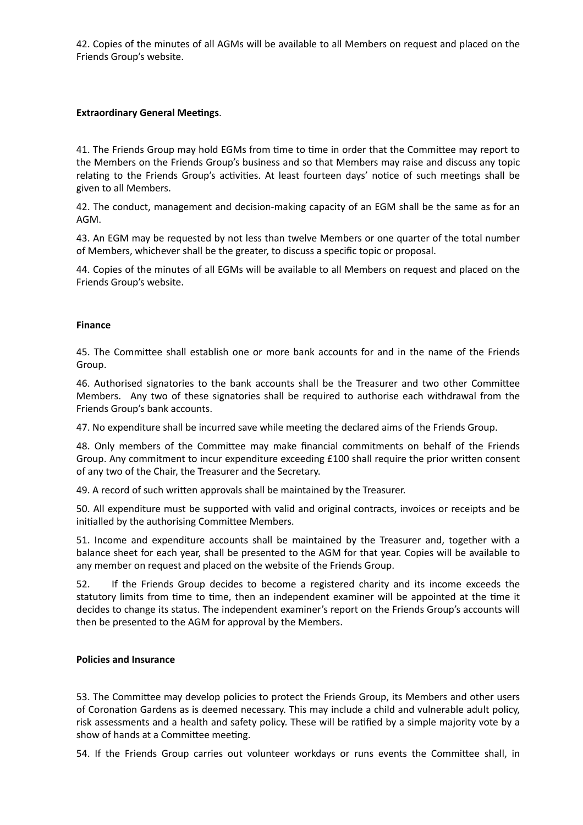42. Copies of the minutes of all AGMs will be available to all Members on request and placed on the Friends Group's website.

## **Extraordinary General Meetings.**

41. The Friends Group may hold EGMs from time to time in order that the Committee may report to the Members on the Friends Group's business and so that Members may raise and discuss any topic relating to the Friends Group's activities. At least fourteen days' notice of such meetings shall be given to all Members.

42. The conduct, management and decision-making capacity of an EGM shall be the same as for an AGM.

43. An EGM may be requested by not less than twelve Members or one quarter of the total number of Members, whichever shall be the greater, to discuss a specific topic or proposal.

44. Copies of the minutes of all EGMs will be available to all Members on request and placed on the Friends Group's website.

#### **Finance**

45. The Committee shall establish one or more bank accounts for and in the name of the Friends Group.

46. Authorised signatories to the bank accounts shall be the Treasurer and two other Committee Members. Any two of these signatories shall be required to authorise each withdrawal from the Friends Group's bank accounts.

47. No expenditure shall be incurred save while meeting the declared aims of the Friends Group.

48. Only members of the Committee may make financial commitments on behalf of the Friends Group. Any commitment to incur expenditure exceeding £100 shall require the prior written consent of any two of the Chair, the Treasurer and the Secretary.

49. A record of such written approvals shall be maintained by the Treasurer.

50. All expenditure must be supported with valid and original contracts, invoices or receipts and be initialled by the authorising Committee Members.

51. Income and expenditure accounts shall be maintained by the Treasurer and, together with a balance sheet for each year, shall be presented to the AGM for that year. Copies will be available to any member on request and placed on the website of the Friends Group.

52. If the Friends Group decides to become a registered charity and its income exceeds the statutory limits from time to time, then an independent examiner will be appointed at the time it decides to change its status. The independent examiner's report on the Friends Group's accounts will then be presented to the AGM for approval by the Members.

## **Policies and Insurance**

53. The Committee may develop policies to protect the Friends Group, its Members and other users of Coronation Gardens as is deemed necessary. This may include a child and vulnerable adult policy, risk assessments and a health and safety policy. These will be ratified by a simple majority vote by a show of hands at a Committee meeting.

54. If the Friends Group carries out volunteer workdays or runs events the Committee shall, in